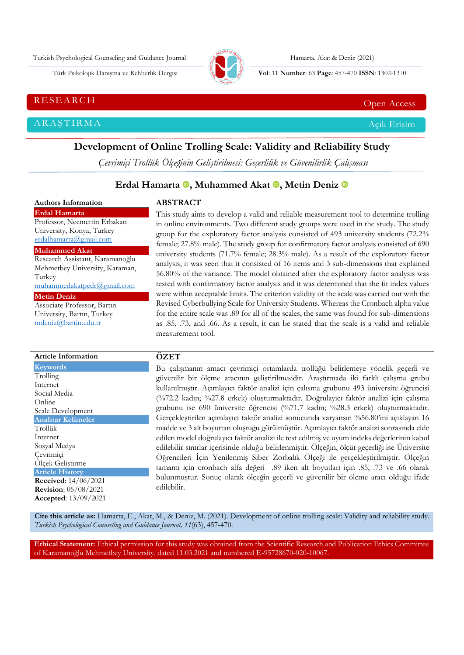Turkish Psychological Counseling and Guidance Journal Hamarta, Akat & Deniz (2021)



Türk Psikolojik Danışma ve Rehberlik Dergisi **Vol**: 11 **Number**: 63 **Page** : 457-470 **ISSN**: 1302-1370

RESEARCH CHE Open Access and the contract of the contract of the contract of the contract of the contract of the contract of the contract of the contract of the contract of the contract of the contract of the contract of t

ARAŞTIRMA Açık Erişim

# **Development of Online Trolling Scale: Validity and Reliability Study**

*Çevrimiçi Trollük Ölçeğinin Geliştirilmesi: Geçerlilik ve Güvenilirlik Çalışması*

# **Erdal Hamarta <b>.**[,](https://orcid.org/0000-0002-8543-8022) Muhammed Akat **.**, Metin Deniz **.**

| <b>Authors Information</b>                          | <b>ABSTRACT</b>                                                                             |
|-----------------------------------------------------|---------------------------------------------------------------------------------------------|
| <b>Erdal Hamarta</b>                                | This study aims to develop a valid and reliable measurement tool to determine trolling      |
| Professor, Necmettin Erbakan                        | in online environments. Two different study groups were used in the study. The study        |
| University, Konya, Turkey<br>erdalhamarta@gmail.com | group for the exploratory factor analysis consisted of 493 university students (72.2%       |
| <b>Muhammed Akat</b>                                | female; 27.8% male). The study group for confirmatory factor analysis consisted of 690      |
| Research Assistant, Karamanoğlu                     | university students (71.7% female; 28.3% male). As a result of the exploratory factor       |
| Mehmetbey University, Karaman,                      | analysis, it was seen that it consisted of 16 items and 3 sub-dimensions that explained     |
| Turkey                                              | 56.80% of the variance. The model obtained after the exploratory factor analysis was        |
| muhammedakatpedr@gmail.com                          | tested with confirmatory factor analysis and it was determined that the fit index values    |
| <b>Metin Deniz</b>                                  | were within acceptable limits. The criterion validity of the scale was carried out with the |
| Associate Professor, Bartin                         | Revised Cyberbullying Scale for University Students. Whereas the Cronbach alpha value       |
| University, Bartın, Turkey                          | for the entire scale was .89 for all of the scales, the same was found for sub-dimensions   |
| mdeniz@bartin.edu.tr                                | as .85, .73, and .66. As a result, it can be stated that the scale is a valid and reliable  |
|                                                     | measurement tool.                                                                           |
|                                                     |                                                                                             |
| <b>Article Information</b>                          | ÖZET                                                                                        |
| <b>Keywords</b>                                     | Bu çalışmanın amacı çevrimiçi ortamlarda trollüğü belirlemeye yönelik geçerli ve            |
| Trolling                                            | ojivenilir bir ölçme araçının qelistirilmesidir. Arastırmada iki farklı çalışma orubu       |

| Internet                       |
|--------------------------------|
| Social Media                   |
| Online                         |
| Scale Development              |
| <b>Anahtar Kelimeler</b>       |
| Trollük                        |
| Internet                       |
| Sosyal Medya                   |
| Cevrimiçi                      |
| Ölçek Geliştirme               |
| <b>Article History</b>         |
| <b>Received:</b> $14/06/2021$  |
| <b>Revision</b> : $05/08/2021$ |
| <b>Accepted:</b> $13/09/2021$  |
|                                |

güvenilir bir ölçme aracının geliştirilmesidir. Araştırmada iki farklı çalışma grubu kullanılmıştır. Açımlayıcı faktör analizi için çalışma grubunu 493 üniversite öğrencisi (%72.2 kadın; %27.8 erkek) oluşturmaktadır. Doğrulayıcı faktör analizi için çalışma grubunu ise 690 üniversite öğrencisi (%71.7 kadın; %28.3 erkek) oluşturmaktadır. Gerçekleştirilen açımlayıcı faktör analizi sonucunda varyansın %56.80'ini açıklayan 16 madde ve 3 alt boyuttan oluştuğu görülmüştür. Açımlayıcı faktör analizi sonrasında elde edilen model doğrulayıcı faktör analizi ile test edilmiş ve uyum indeks değerlerinin kabul edilebilir sınırlar içerisinde olduğu belirlenmiştir. Ölçeğin, ölçüt geçerliği ise Üniversite Öğrencileri İçin Yenilenmiş Siber Zorbalık Ölçeği ile gerçekleştirilmiştir. Ölçeğin tamamı için cronbach alfa değeri .89 iken alt boyutları için .85, .73 ve .66 olarak bulunmuştur. Sonuç olarak ölçeğin geçerli ve güvenilir bir ölçme aracı olduğu ifade edilebilir.

**Cite this article as:** Hamarta, E., Akat, M., & Deniz, M. (2021). Development of online trolling scale: Validity and reliability study*. Turkish Psychological Counseling and Guidance Journal, 11*(63), 457-470.

**Ethical Statement:** Ethical permission for this study was obtained from the Scientific Research and Publication Ethics Committee of Karamanoğlu Mehmetbey University, dated 11.03.2021 and numbered E-95728670-020-10067.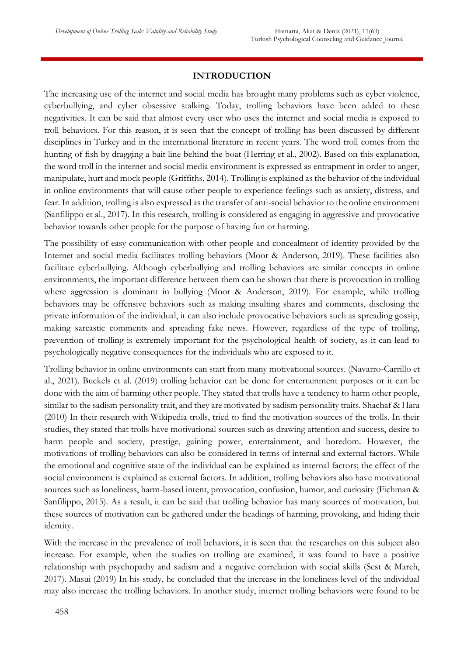# **INTRODUCTION**

The increasing use of the internet and social media has brought many problems such as cyber violence, cyberbullying, and cyber obsessive stalking. Today, trolling behaviors have been added to these negativities. It can be said that almost every user who uses the internet and social media is exposed to troll behaviors. For this reason, it is seen that the concept of trolling has been discussed by different disciplines in Turkey and in the international literature in recent years. The word troll comes from the hunting of fish by dragging a bait line behind the boat (Herring et al., 2002). Based on this explanation, the word troll in the internet and social media environment is expressed as entrapment in order to anger, manipulate, hurt and mock people (Griffiths, 2014). Trolling is explained as the behavior of the individual in online environments that will cause other people to experience feelings such as anxiety, distress, and fear. In addition, trolling is also expressed as the transfer of anti-social behavior to the online environment (Sanfilippo et al., 2017). In this research, trolling is considered as engaging in aggressive and provocative behavior towards other people for the purpose of having fun or harming.

The possibility of easy communication with other people and concealment of identity provided by the Internet and social media facilitates trolling behaviors (Moor & Anderson, 2019). These facilities also facilitate cyberbullying. Although cyberbullying and trolling behaviors are similar concepts in online environments, the important difference between them can be shown that there is provocation in trolling where aggression is dominant in bullying (Moor & Anderson, 2019). For example, while trolling behaviors may be offensive behaviors such as making insulting shares and comments, disclosing the private information of the individual, it can also include provocative behaviors such as spreading gossip, making sarcastic comments and spreading fake news. However, regardless of the type of trolling, prevention of trolling is extremely important for the psychological health of society, as it can lead to psychologically negative consequences for the individuals who are exposed to it.

Trolling behavior in online environments can start from many motivational sources. (Navarro-Carrillo et al., 2021). Buckels et al. (2019) trolling behavior can be done for entertainment purposes or it can be done with the aim of harming other people. They stated that trolls have a tendency to harm other people, similar to the sadism personality trait, and they are motivated by sadism personality traits. Shachaf & Hara (2010) In their research with Wikipedia trolls, tried to find the motivation sources of the trolls. In their studies, they stated that trolls have motivational sources such as drawing attention and success, desire to harm people and society, prestige, gaining power, entertainment, and boredom. However, the motivations of trolling behaviors can also be considered in terms of internal and external factors. While the emotional and cognitive state of the individual can be explained as internal factors; the effect of the social environment is explained as external factors. In addition, trolling behaviors also have motivational sources such as loneliness, harm-based intent, provocation, confusion, humor, and curiosity (Fichman & Sanfilippo, 2015). As a result, it can be said that trolling behavior has many sources of motivation, but these sources of motivation can be gathered under the headings of harming, provoking, and hiding their identity.

With the increase in the prevalence of troll behaviors, it is seen that the researches on this subject also increase. For example, when the studies on trolling are examined, it was found to have a positive relationship with psychopathy and sadism and a negative correlation with social skills (Sest & March, 2017). Masui (2019) In his study, he concluded that the increase in the loneliness level of the individual may also increase the trolling behaviors. In another study, internet trolling behaviors were found to be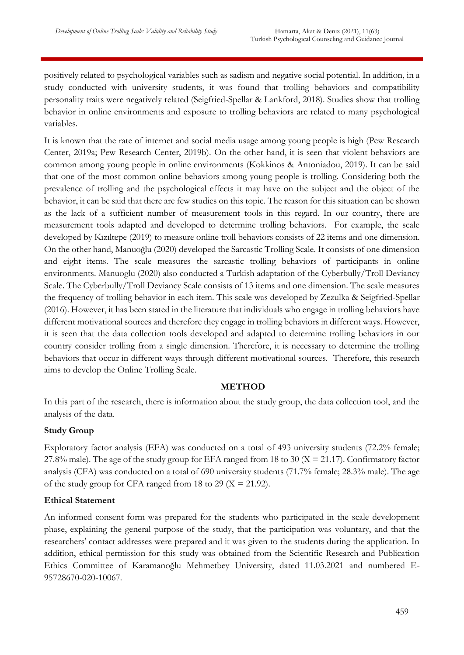positively related to psychological variables such as sadism and negative social potential. In addition, in a study conducted with university students, it was found that trolling behaviors and compatibility personality traits were negatively related (Seigfried-Spellar & Lankford, 2018). Studies show that trolling behavior in online environments and exposure to trolling behaviors are related to many psychological variables.

It is known that the rate of internet and social media usage among young people is high (Pew Research Center, 2019a; Pew Research Center, 2019b). On the other hand, it is seen that violent behaviors are common among young people in online environments (Kokkinos & Antoniadou, 2019). It can be said that one of the most common online behaviors among young people is trolling. Considering both the prevalence of trolling and the psychological effects it may have on the subject and the object of the behavior, it can be said that there are few studies on this topic. The reason for this situation can be shown as the lack of a sufficient number of measurement tools in this regard. In our country, there are measurement tools adapted and developed to determine trolling behaviors. For example, the scale developed by Kızıltepe (2019) to measure online troll behaviors consists of 22 items and one dimension. On the other hand, Manuoğlu (2020) developed the Sarcastic Trolling Scale. It consists of one dimension and eight items. The scale measures the sarcastic trolling behaviors of participants in online environments. Manuoglu (2020) also conducted a Turkish adaptation of the Cyberbully/Troll Deviancy Scale. The Cyberbully/Troll Deviancy Scale consists of 13 items and one dimension. The scale measures the frequency of trolling behavior in each item. This scale was developed by Zezulka & Seigfried-Spellar (2016). However, it has been stated in the literature that individuals who engage in trolling behaviors have different motivational sources and therefore they engage in trolling behaviors in different ways. However, it is seen that the data collection tools developed and adapted to determine trolling behaviors in our country consider trolling from a single dimension. Therefore, it is necessary to determine the trolling behaviors that occur in different ways through different motivational sources. Therefore, this research aims to develop the Online Trolling Scale.

#### **METHOD**

In this part of the research, there is information about the study group, the data collection tool, and the analysis of the data.

# **Study Group**

Exploratory factor analysis (EFA) was conducted on a total of 493 university students (72.2% female; 27.8% male). The age of the study group for EFA ranged from 18 to 30 ( $X = 21.17$ ). Confirmatory factor analysis (CFA) was conducted on a total of 690 university students (71.7% female; 28.3% male). The age of the study group for CFA ranged from 18 to 29 ( $X = 21.92$ ).

#### **Ethical Statement**

An informed consent form was prepared for the students who participated in the scale development phase, explaining the general purpose of the study, that the participation was voluntary, and that the researchers' contact addresses were prepared and it was given to the students during the application. In addition, ethical permission for this study was obtained from the Scientific Research and Publication Ethics Committee of Karamanoğlu Mehmetbey University, dated 11.03.2021 and numbered E-95728670-020-10067.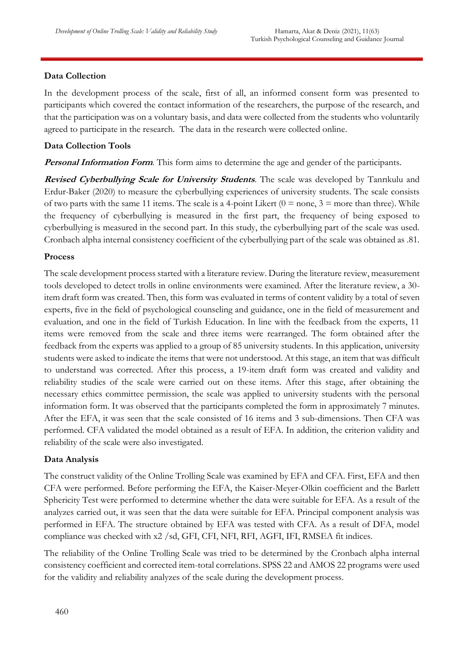# **Data Collection**

In the development process of the scale, first of all, an informed consent form was presented to participants which covered the contact information of the researchers, the purpose of the research, and that the participation was on a voluntary basis, and data were collected from the students who voluntarily agreed to participate in the research. The data in the research were collected online.

# **Data Collection Tools**

**Personal Information Form**. This form aims to determine the age and gender of the participants.

**Revised Cyberbullying Scale for University Students**. The scale was developed by Tanrıkulu and Erdur-Baker (2020) to measure the cyberbullying experiences of university students. The scale consists of two parts with the same 11 items. The scale is a 4-point Likert  $(0 = none, 3 = more than three)$ . While the frequency of cyberbullying is measured in the first part, the frequency of being exposed to cyberbullying is measured in the second part. In this study, the cyberbullying part of the scale was used. Cronbach alpha internal consistency coefficient of the cyberbullying part of the scale was obtained as .81.

# **Process**

The scale development process started with a literature review. During the literature review, measurement tools developed to detect trolls in online environments were examined. After the literature review, a 30 item draft form was created. Then, this form was evaluated in terms of content validity by a total of seven experts, five in the field of psychological counseling and guidance, one in the field of measurement and evaluation, and one in the field of Turkish Education. In line with the feedback from the experts, 11 items were removed from the scale and three items were rearranged. The form obtained after the feedback from the experts was applied to a group of 85 university students. In this application, university students were asked to indicate the items that were not understood. At this stage, an item that was difficult to understand was corrected. After this process, a 19-item draft form was created and validity and reliability studies of the scale were carried out on these items. After this stage, after obtaining the necessary ethics committee permission, the scale was applied to university students with the personal information form. It was observed that the participants completed the form in approximately 7 minutes. After the EFA, it was seen that the scale consisted of 16 items and 3 sub-dimensions. Then CFA was performed. CFA validated the model obtained as a result of EFA. In addition, the criterion validity and reliability of the scale were also investigated.

# **Data Analysis**

The construct validity of the Online Trolling Scale was examined by EFA and CFA. First, EFA and then CFA were performed. Before performing the EFA, the Kaiser-Meyer-Olkin coefficient and the Barlett Sphericity Test were performed to determine whether the data were suitable for EFA. As a result of the analyzes carried out, it was seen that the data were suitable for EFA. Principal component analysis was performed in EFA. The structure obtained by EFA was tested with CFA. As a result of DFA, model compliance was checked with x2 /sd, GFI, CFI, NFI, RFI, AGFI, IFI, RMSEA fit indices.

The reliability of the Online Trolling Scale was tried to be determined by the Cronbach alpha internal consistency coefficient and corrected item-total correlations. SPSS 22 and AMOS 22 programs were used for the validity and reliability analyzes of the scale during the development process.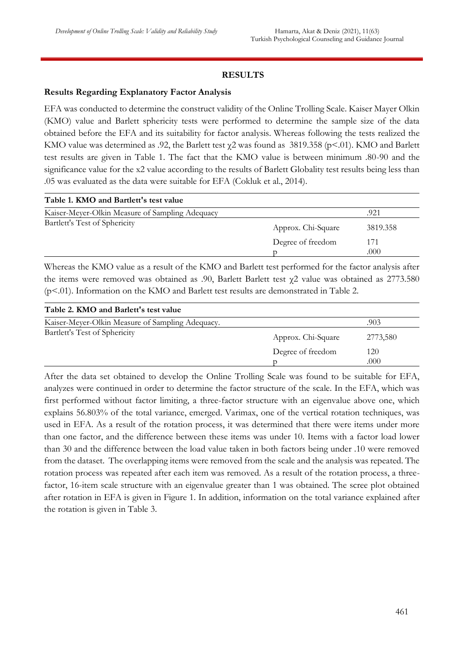# **RESULTS**

#### **Results Regarding Explanatory Factor Analysis**

EFA was conducted to determine the construct validity of the Online Trolling Scale. Kaiser Mayer Olkin (KMO) value and Barlett sphericity tests were performed to determine the sample size of the data obtained before the EFA and its suitability for factor analysis. Whereas following the tests realized the KMO value was determined as .92, the Barlett test  $\chi$ 2 was found as 3819.358 (p<.01). KMO and Barlett test results are given in Table 1. The fact that the KMO value is between minimum .80-90 and the significance value for the x2 value according to the results of Barlett Globality test results being less than .05 was evaluated as the data were suitable for EFA (Cokluk et al., 2014).

| Table 1. KMO and Bartlett's test value          |                    |             |
|-------------------------------------------------|--------------------|-------------|
| Kaiser-Meyer-Olkin Measure of Sampling Adequacy |                    | .921        |
| Bartlett's Test of Sphericity                   | Approx. Chi-Square | 3819.358    |
|                                                 | Degree of freedom  | 171<br>.000 |

Whereas the KMO value as a result of the KMO and Barlett test performed for the factor analysis after the items were removed was obtained as .90, Barlett Barlett test χ2 value was obtained as 2773.580 (p<.01). Information on the KMO and Barlett test results are demonstrated in Table 2.

| Table 2. KMO and Barlett's test value            |                    |          |
|--------------------------------------------------|--------------------|----------|
| Kaiser-Meyer-Olkin Measure of Sampling Adequacy. |                    | .903     |
| Bartlett's Test of Sphericity                    | Approx. Chi-Square | 2773,580 |
|                                                  | Degree of freedom  | 120      |
|                                                  |                    | .000     |

After the data set obtained to develop the Online Trolling Scale was found to be suitable for EFA, analyzes were continued in order to determine the factor structure of the scale. In the EFA, which was first performed without factor limiting, a three-factor structure with an eigenvalue above one, which explains 56.803% of the total variance, emerged. Varimax, one of the vertical rotation techniques, was used in EFA. As a result of the rotation process, it was determined that there were items under more than one factor, and the difference between these items was under 10. Items with a factor load lower than 30 and the difference between the load value taken in both factors being under .10 were removed from the dataset. The overlapping items were removed from the scale and the analysis was repeated. The rotation process was repeated after each item was removed. As a result of the rotation process, a threefactor, 16-item scale structure with an eigenvalue greater than 1 was obtained. The scree plot obtained after rotation in EFA is given in Figure 1. In addition, information on the total variance explained after the rotation is given in Table 3.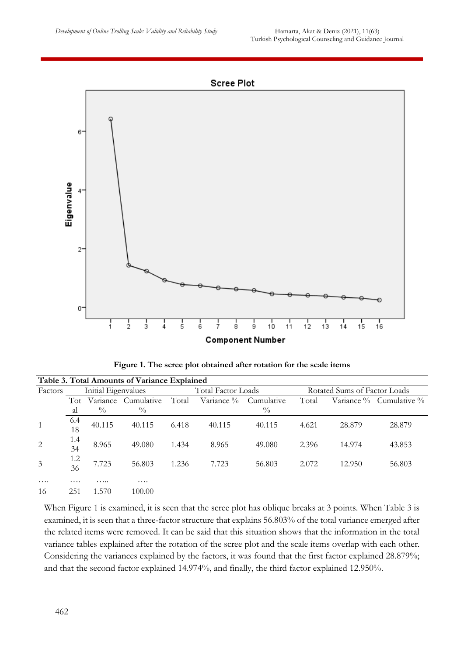



**Figure 1. The scree plot obtained after rotation for the scale items**

| Table 3. Total Amounts of Variance Explained |                     |               |               |                           |            |                              |       |        |                               |
|----------------------------------------------|---------------------|---------------|---------------|---------------------------|------------|------------------------------|-------|--------|-------------------------------|
| Factors                                      | Initial Eigenvalues |               |               | <b>Total Factor Loads</b> |            | Rotated Sums of Factor Loads |       |        |                               |
|                                              | Tot                 | Variance      | Cumulative    | Total                     | Variance % | Cumulative                   | Total |        | Variance $\%$ Cumulative $\%$ |
|                                              | al                  | $\frac{0}{0}$ | $\frac{0}{0}$ |                           |            | $\frac{0}{0}$                |       |        |                               |
|                                              | 6.4<br>18           | 40.115        | 40.115        | 6.418                     | 40.115     | 40.115                       | 4.621 | 28.879 | 28.879                        |
| $\overline{2}$                               | 1.4<br>34           | 8.965         | 49.080        | 1.434                     | 8.965      | 49,080                       | 2.396 | 14.974 | 43.853                        |
| $\overline{3}$                               | 1.2<br>36           | 7.723         | 56.803        | 1.236                     | 7.723      | 56.803                       | 2.072 | 12.950 | 56.803                        |
| $\cdots$                                     | $\cdots$            | .             | $\cdots$      |                           |            |                              |       |        |                               |
| 16                                           | 251                 | 1.570         | 100.00        |                           |            |                              |       |        |                               |

When Figure 1 is examined, it is seen that the scree plot has oblique breaks at 3 points. When Table 3 is examined, it is seen that a three-factor structure that explains 56.803% of the total variance emerged after the related items were removed. It can be said that this situation shows that the information in the total variance tables explained after the rotation of the scree plot and the scale items overlap with each other. Considering the variances explained by the factors, it was found that the first factor explained 28.879%; and that the second factor explained 14.974%, and finally, the third factor explained 12.950%.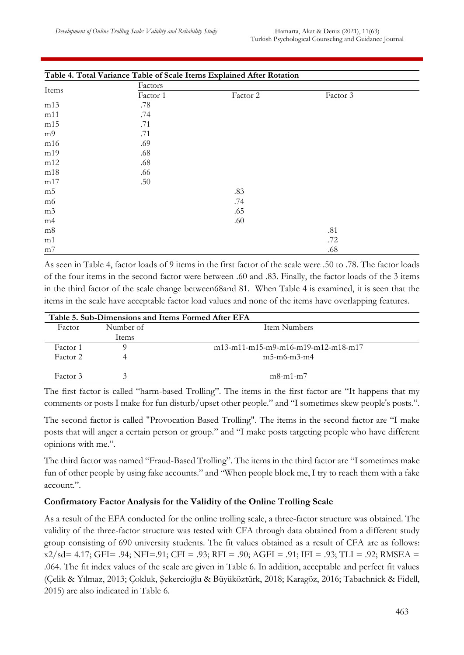|                | Table 4. Total Variance Table of Scale Items Explained After Rotation |          |          |  |
|----------------|-----------------------------------------------------------------------|----------|----------|--|
|                | Factors                                                               |          |          |  |
| Items          | Factor 1                                                              | Factor 2 | Factor 3 |  |
| m13            | .78                                                                   |          |          |  |
| m11            | .74                                                                   |          |          |  |
| m15            | .71                                                                   |          |          |  |
| m <sup>9</sup> | .71                                                                   |          |          |  |
| m16            | .69                                                                   |          |          |  |
| m19            | .68                                                                   |          |          |  |
| m12            | .68                                                                   |          |          |  |
| m18            | .66                                                                   |          |          |  |
| m17            | .50                                                                   |          |          |  |
| m <sub>5</sub> |                                                                       | .83      |          |  |
| m <sub>6</sub> |                                                                       | .74      |          |  |
| m <sub>3</sub> |                                                                       | .65      |          |  |
| m4             |                                                                       | .60      |          |  |
| m8             |                                                                       |          | .81      |  |
| m1             |                                                                       |          | .72      |  |
| m <sub>7</sub> |                                                                       |          | .68      |  |

As seen in Table 4, factor loads of 9 items in the first factor of the scale were .50 to .78. The factor loads of the four items in the second factor were between .60 and .83. Finally, the factor loads of the 3 items in the third factor of the scale change between68and 81. When Table 4 is examined, it is seen that the items in the scale have acceptable factor load values and none of the items have overlapping features.

|          |           | Table 5. Sub-Dimensions and Items Formed After EFA   |  |
|----------|-----------|------------------------------------------------------|--|
| Factor   | Number of | Item Numbers                                         |  |
|          | Items     |                                                      |  |
| Factor 1 |           | $m13 - m11 - m15 - m9 - m16 - m19 - m12 - m18 - m17$ |  |
| Factor 2 |           | $m5-m6-m3-m4$                                        |  |
| Factor 3 |           | $m$ 8-m1-m7                                          |  |

The first factor is called "harm-based Trolling". The items in the first factor are "It happens that my comments or posts I make for fun disturb/upset other people." and "I sometimes skew people's posts.".

The second factor is called "Provocation Based Trolling". The items in the second factor are "I make posts that will anger a certain person or group." and "I make posts targeting people who have different opinions with me.".

The third factor was named "Fraud-Based Trolling". The items in the third factor are "I sometimes make fun of other people by using fake accounts." and "When people block me, I try to reach them with a fake account.".

#### **Confirmatory Factor Analysis for the Validity of the Online Trolling Scale**

As a result of the EFA conducted for the online trolling scale, a three-factor structure was obtained. The validity of the three-factor structure was tested with CFA through data obtained from a different study group consisting of 690 university students. The fit values obtained as a result of CFA are as follows:  $x2/sd = 4.17$ ; GFI= .94; NFI=.91; CFI = .93; RFI = .90; AGFI = .91; IFI = .93; TLI = .92; RMSEA = .064. The fit index values of the scale are given in Table 6. In addition, acceptable and perfect fit values (Çelik & Yılmaz, 2013; Çokluk, Şekercioğlu & Büyüköztürk, 2018; Karagöz, 2016; Tabachnick & Fidell, 2015) are also indicated in Table 6.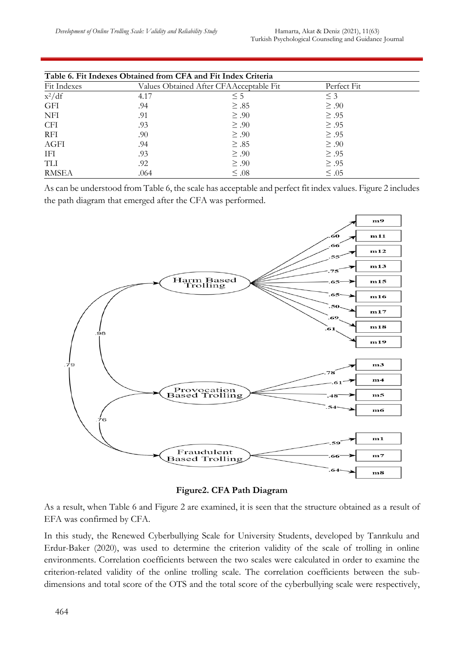| Table 6. Fit Indexes Obtained from CFA and Fit Index Criteria |      |                                         |             |  |  |  |
|---------------------------------------------------------------|------|-----------------------------------------|-------------|--|--|--|
| Fit Indexes                                                   |      | Values Obtained After CFAAcceptable Fit | Perfect Fit |  |  |  |
| $x^2/df$                                                      | 4.17 | $\leq$ 5                                | $\leq$ 3    |  |  |  |
| GFI                                                           | .94  | $\geq .85$                              | $\geq .90$  |  |  |  |
| NFI                                                           | .91  | $\geq .90$                              | $\geq .95$  |  |  |  |
| CFI                                                           | .93  | $\geq .90$                              | $\geq .95$  |  |  |  |
| RFI                                                           | .90  | $\geq .90$                              | $\geq .95$  |  |  |  |
| AGFI                                                          | .94  | $\geq .85$                              | $\geq .90$  |  |  |  |
| <b>IFI</b>                                                    | .93  | $\geq .90$                              | $\geq .95$  |  |  |  |
| TLI                                                           | .92  | $\geq .90$                              | $\geq .95$  |  |  |  |
| <b>RMSEA</b>                                                  | .064 | $\leq .08$                              | $\leq .05$  |  |  |  |

As can be understood from Table 6, the scale has acceptable and perfect fit index values. Figure 2 includes the path diagram that emerged after the CFA was performed.



**Figure2. CFA Path Diagram**

As a result, when Table 6 and Figure 2 are examined, it is seen that the structure obtained as a result of EFA was confirmed by CFA.

In this study, the Renewed Cyberbullying Scale for University Students, developed by Tanrıkulu and Erdur-Baker (2020), was used to determine the criterion validity of the scale of trolling in online environments. Correlation coefficients between the two scales were calculated in order to examine the criterion-related validity of the online trolling scale. The correlation coefficients between the subdimensions and total score of the OTS and the total score of the cyberbullying scale were respectively,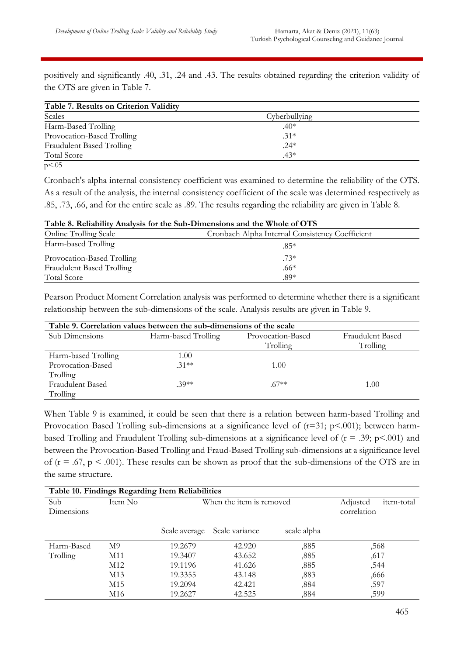positively and significantly .40, .31, .24 and .43. The results obtained regarding the criterion validity of the OTS are given in Table 7.

| Scales                     | Cyberbullying |  |
|----------------------------|---------------|--|
| Harm-Based Trolling        | $.40*$        |  |
| Provocation-Based Trolling | $.31*$        |  |
| Fraudulent Based Trolling  | $.24*$        |  |
| Total Score                | $.43*$        |  |

Cronbach's alpha internal consistency coefficient was examined to determine the reliability of the OTS. As a result of the analysis, the internal consistency coefficient of the scale was determined respectively as .85, .73, .66, and for the entire scale as .89. The results regarding the reliability are given in Table 8.

| Table 8. Reliability Analysis for the Sub-Dimensions and the Whole of OTS |                                                 |  |  |
|---------------------------------------------------------------------------|-------------------------------------------------|--|--|
| <b>Online Trolling Scale</b>                                              | Cronbach Alpha Internal Consistency Coefficient |  |  |
| Harm-based Trolling                                                       | $.85*$                                          |  |  |
| Provocation-Based Trolling                                                | $.73*$                                          |  |  |
| Fraudulent Based Trolling                                                 | $.66*$                                          |  |  |
| Total Score                                                               | $.89*$                                          |  |  |

Pearson Product Moment Correlation analysis was performed to determine whether there is a significant relationship between the sub-dimensions of the scale. Analysis results are given in Table 9.

| Table 9. Correlation values between the sub-dimensions of the scale |                     |                   |                  |  |  |
|---------------------------------------------------------------------|---------------------|-------------------|------------------|--|--|
| Sub Dimensions                                                      | Harm-based Trolling | Provocation-Based | Fraudulent Based |  |  |
|                                                                     |                     | Trolling          | Trolling         |  |  |
| Harm-based Trolling                                                 | 1.00                |                   |                  |  |  |
| Provocation-Based                                                   | $.31**$             | 1.00              |                  |  |  |
| Trolling                                                            |                     |                   |                  |  |  |
| Fraudulent Based                                                    | $30**$              | $.67**$           | 1.00             |  |  |
| Trolling                                                            |                     |                   |                  |  |  |

When Table 9 is examined, it could be seen that there is a relation between harm-based Trolling and Provocation Based Trolling sub-dimensions at a significance level of  $(r=31; p<.001)$ ; between harmbased Trolling and Fraudulent Trolling sub-dimensions at a significance level of  $(r = .39; p < .001)$  and between the Provocation-Based Trolling and Fraud-Based Trolling sub-dimensions at a significance level of  $(r = .67, p < .001)$ . These results can be shown as proof that the sub-dimensions of the OTS are in the same structure.

| Table 10. Findings Regarding Item Reliabilities |         |               |                          |                               |             |  |
|-------------------------------------------------|---------|---------------|--------------------------|-------------------------------|-------------|--|
| Sub                                             | Item No |               | When the item is removed | Adjusted<br><i>item-total</i> |             |  |
| Dimensions                                      |         |               |                          |                               | correlation |  |
|                                                 |         | Scale average | Scale variance           | scale alpha                   |             |  |
| Harm-Based                                      | M9      | 19.2679       | 42.920                   | ,885                          | ,568        |  |
| Trolling                                        | M11     | 19.3407       | 43.652                   | ,885                          | ,617        |  |
|                                                 | M12     | 19.1196       | 41.626                   | ,885                          | ,544        |  |
|                                                 | M13     | 19.3355       | 43.148                   | ,883                          | ,666        |  |
|                                                 | M15     | 19.2094       | 42.421                   | ,884                          | ,597        |  |
|                                                 | M16     | 19.2627       | 42.525                   | ,884                          | ,599        |  |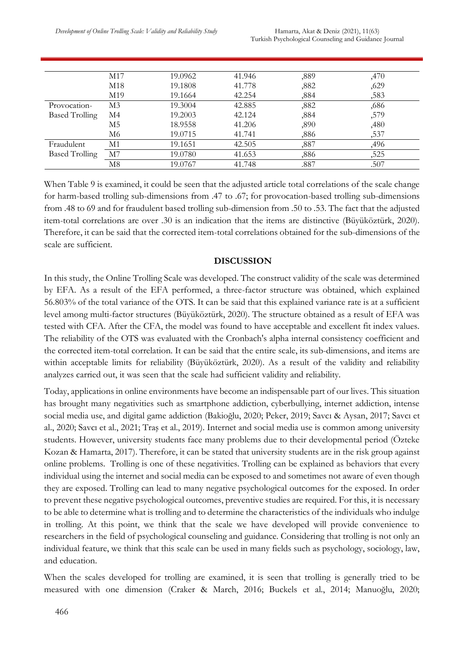|                       | M17 | 19.0962 | 41.946 | ,889 | ,470 |
|-----------------------|-----|---------|--------|------|------|
|                       | M18 | 19.1808 | 41.778 | ,882 | ,629 |
|                       | M19 | 19.1664 | 42.254 | ,884 | ,583 |
| Provocation-          | M3  | 19.3004 | 42.885 | ,882 | ,686 |
| <b>Based Trolling</b> | M4  | 19.2003 | 42.124 | ,884 | ,579 |
|                       | M5  | 18.9558 | 41.206 | ,890 | ,480 |
|                       | M6  | 19.0715 | 41.741 | ,886 | ,537 |
| Fraudulent            | Μ1  | 19.1651 | 42.505 | ,887 | ,496 |
| <b>Based Trolling</b> | М7  | 19.0780 | 41.653 | ,886 | ,525 |
|                       | Μ8  | 19.0767 | 41.748 | .887 | .507 |

When Table 9 is examined, it could be seen that the adjusted article total correlations of the scale change for harm-based trolling sub-dimensions from .47 to .67; for provocation-based trolling sub-dimensions from .48 to 69 and for fraudulent based trolling sub-dimension from .50 to .53. The fact that the adjusted item-total correlations are over .30 is an indication that the items are distinctive (Büyüköztürk, 2020). Therefore, it can be said that the corrected item-total correlations obtained for the sub-dimensions of the scale are sufficient.

#### **DISCUSSION**

In this study, the Online Trolling Scale was developed. The construct validity of the scale was determined by EFA. As a result of the EFA performed, a three-factor structure was obtained, which explained 56.803% of the total variance of the OTS. It can be said that this explained variance rate is at a sufficient level among multi-factor structures (Büyüköztürk, 2020). The structure obtained as a result of EFA was tested with CFA. After the CFA, the model was found to have acceptable and excellent fit index values. The reliability of the OTS was evaluated with the Cronbach's alpha internal consistency coefficient and the corrected item-total correlation. It can be said that the entire scale, its sub-dimensions, and items are within acceptable limits for reliability (Büyüköztürk, 2020). As a result of the validity and reliability analyzes carried out, it was seen that the scale had sufficient validity and reliability.

Today, applications in online environments have become an indispensable part of our lives. This situation has brought many negativities such as smartphone addiction, cyberbullying, internet addiction, intense social media use, and digital game addiction (Bakioğlu, 2020; Peker, 2019; Savcı & Aysan, 2017; Savcı et al., 2020; Savcı et al., 2021; Traş et al., 2019). Internet and social media use is common among university students. However, university students face many problems due to their developmental period (Özteke Kozan & Hamarta, 2017). Therefore, it can be stated that university students are in the risk group against online problems. Trolling is one of these negativities. Trolling can be explained as behaviors that every individual using the internet and social media can be exposed to and sometimes not aware of even though they are exposed. Trolling can lead to many negative psychological outcomes for the exposed. In order to prevent these negative psychological outcomes, preventive studies are required. For this, it is necessary to be able to determine what is trolling and to determine the characteristics of the individuals who indulge in trolling. At this point, we think that the scale we have developed will provide convenience to researchers in the field of psychological counseling and guidance. Considering that trolling is not only an individual feature, we think that this scale can be used in many fields such as psychology, sociology, law, and education.

When the scales developed for trolling are examined, it is seen that trolling is generally tried to be measured with one dimension (Craker & March, 2016; Buckels et al., 2014; Manuoğlu, 2020;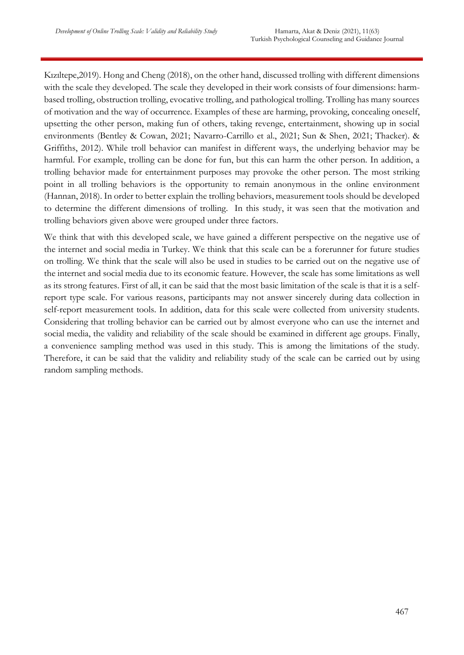Kızıltepe,2019). Hong and Cheng (2018), on the other hand, discussed trolling with different dimensions with the scale they developed. The scale they developed in their work consists of four dimensions: harmbased trolling, obstruction trolling, evocative trolling, and pathological trolling. Trolling has many sources of motivation and the way of occurrence. Examples of these are harming, provoking, concealing oneself, upsetting the other person, making fun of others, taking revenge, entertainment, showing up in social environments (Bentley & Cowan, 2021; Navarro-Carrillo et al., 2021; Sun & Shen, 2021; Thacker). & Griffiths, 2012). While troll behavior can manifest in different ways, the underlying behavior may be harmful. For example, trolling can be done for fun, but this can harm the other person. In addition, a trolling behavior made for entertainment purposes may provoke the other person. The most striking point in all trolling behaviors is the opportunity to remain anonymous in the online environment (Hannan, 2018). In order to better explain the trolling behaviors, measurement tools should be developed to determine the different dimensions of trolling. In this study, it was seen that the motivation and trolling behaviors given above were grouped under three factors.

We think that with this developed scale, we have gained a different perspective on the negative use of the internet and social media in Turkey. We think that this scale can be a forerunner for future studies on trolling. We think that the scale will also be used in studies to be carried out on the negative use of the internet and social media due to its economic feature. However, the scale has some limitations as well as its strong features. First of all, it can be said that the most basic limitation of the scale is that it is a selfreport type scale. For various reasons, participants may not answer sincerely during data collection in self-report measurement tools. In addition, data for this scale were collected from university students. Considering that trolling behavior can be carried out by almost everyone who can use the internet and social media, the validity and reliability of the scale should be examined in different age groups. Finally, a convenience sampling method was used in this study. This is among the limitations of the study. Therefore, it can be said that the validity and reliability study of the scale can be carried out by using random sampling methods.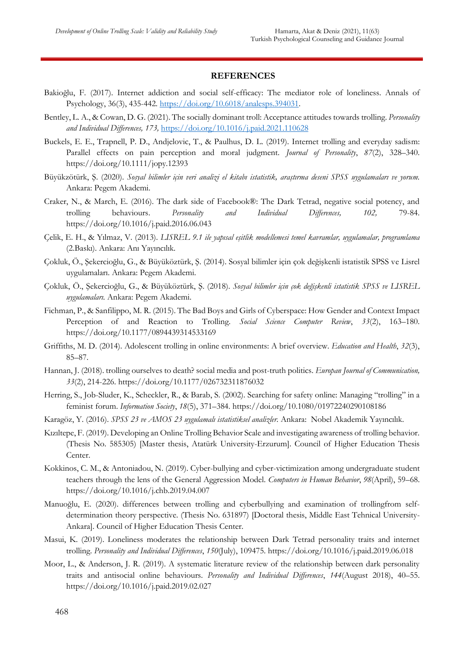#### **REFERENCES**

- Bakioğlu, F. (2017). Internet addiction and social self-efficacy: The mediator role of loneliness. Annals of Psychology, 36(3), 435-442. [https://doi.org/10.6018/analesps.394031.](https://doi.org/10.6018/analesps.394031)
- Bentley, L. A., & Cowan, D. G. (2021). The socially dominant troll: Acceptance attitudes towards trolling. *Personality and Individual Differences, 173,* <https://doi.org/10.1016/j.paid.2021.110628>
- Buckels, E. E., Trapnell, P. D., Andjelovic, T., & Paulhus, D. L. (2019). Internet trolling and everyday sadism: Parallel effects on pain perception and moral judgment. *Journal of Personality*, *87*(2), 328–340. https://doi.org/10.1111/jopy.12393
- Büyükzötürk, Ş. (2020). *Sosyal bilimler için veri analizi el kitabı istatistik, araştırma deseni SPSS uygulamaları ve yorum.* Ankara: Pegem Akademi.
- Craker, N., & March, E. (2016). The dark side of Facebook®: The Dark Tetrad, negative social potency, and trolling behaviours. *Personality and Individual Differences, 102,* 79-84. https://doi.org/10.1016/j.paid.2016.06.043
- Çelik, E. H., & Yılmaz, V. (2013). *LISREL 9.1 ile yapısal eşitlik modellemesi temel kavramlar, uygulamalar, programlama*  (2.Baskı). Ankara: Anı Yayıncılık.
- Çokluk, Ö., Şekercioğlu, G., & Büyüköztürk, Ş. (2014). Sosyal bilimler için çok değişkenli istatistik SPSS ve Lisrel uygulamaları. Ankara: Pegem Akademi.
- Çokluk, Ö., Şekercioğlu, G., & Büyüköztürk, Ş. (2018). *Sosyal bilimler için çok değişkenli istatistik SPSS ve LISREL uygulamaları.* Ankara: Pegem Akademi.
- Fichman, P., & Sanfilippo, M. R. (2015). The Bad Boys and Girls of Cyberspace: How Gender and Context Impact Perception of and Reaction to Trolling. *Social Science Computer Review*, *33*(2), 163–180. https://doi.org/10.1177/0894439314533169
- Griffiths, M. D. (2014). Adolescent trolling in online environments: A brief overview. *Education and Health*, *32*(3), 85–87.
- Hannan, J. (2018). trolling ourselves to death? social media and post-truth politics. *Europan Journal of Communication, 33*(2), 214-226. https://doi.org/10.1177/026732311876032
- Herring, S., Job-Sluder, K., Scheckler, R., & Barab, S. (2002). Searching for safety online: Managing "trolling" in a feminist forum. *Information Society*, *18*(5), 371–384. https://doi.org/10.1080/01972240290108186
- Karagöz, Y. (2016). *SPSS 23 ve AMOS 23 uygulamalı istatistiksel analizler.* Ankara: Nobel Akademik Yayıncılık.
- Kızıltepe, F. (2019). Developing an Online Trolling Behavior Scale and investigating awareness of trolling behavior. (Thesis No. 585305) [Master thesis, Atatürk University-Erzurum]. Council of Higher Education Thesis Center.
- Kokkinos, C. M., & Antoniadou, N. (2019). Cyber-bullying and cyber-victimization among undergraduate student teachers through the lens of the General Aggression Model. *Computers in Human Behavior*, *98*(April), 59–68. https://doi.org/10.1016/j.chb.2019.04.007
- Manuoğlu, E. (2020). differences between trolling and cyberbullying and examination of trollingfrom selfdetermination theory perspective. (Thesis No. 631897) [Doctoral thesis, Middle East Tehnical University-Ankara]. Council of Higher Education Thesis Center.
- Masui, K. (2019). Loneliness moderates the relationship between Dark Tetrad personality traits and internet trolling. *Personality and Individual Differences*, *150*(July), 109475. https://doi.org/10.1016/j.paid.2019.06.018
- Moor, L., & Anderson, J. R. (2019). A systematic literature review of the relationship between dark personality traits and antisocial online behaviours. *Personality and Individual Differences*, *144*(August 2018), 40–55. https://doi.org/10.1016/j.paid.2019.02.027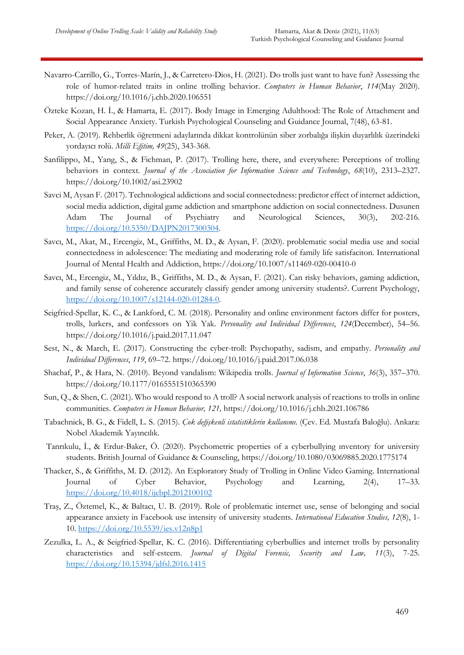- Navarro-Carrillo, G., Torres-Marín, J., & Carretero-Dios, H. (2021). Do trolls just want to have fun? Assessing the role of humor-related traits in online trolling behavior. *Computers in Human Behavior*, *114*(May 2020). https://doi.org/10.1016/j.chb.2020.106551
- Özteke Kozan, H. İ., & Hamarta, E. (2017). Body Image in Emerging Adulthood: The Role of Attachment and Social Appearance Anxiety. Turkish Psychological Counseling and Guidance Journal, 7(48), 63-81.
- Peker, A. (2019). Rehberlik öğretmeni adaylarında dikkat kontrolünün siber zorbalığa ilişkin duyarlılık üzerindeki yordayıcı rolü. *Milli Eğitim, 49*(25), 343-368.
- Sanfilippo, M., Yang, S., & Fichman, P. (2017). Trolling here, there, and everywhere: Perceptions of trolling behaviors in context. *Journal of the Association for Information Science and Technology*, *68*(10), 2313–2327. https://doi.org/10.1002/asi.23902
- Savci M, Aysan F. (2017). Technological addictions and social connectedness: predictor effect of internet addiction, social media addiction, digital game addiction and smartphone addiction on social connectedness. Dusunen Adam The Journal of Psychiatry and Neurological Sciences, 30(3), 202-216. [https://doi.org/10.5350/DAJPN2017300304.](https://doi.org/10.5350/DAJPN2017300304)
- Savcı, M., Akat, M., Ercengiz, M., Griffiths, M. D., & Aysan, F. (2020). problematic social media use and social connectedness in adolescence: The mediating and moderating role of family life satisfaciton. International Journal of Mental Health and Addiction, https://doi.org/10.1007/s11469-020-00410-0
- Savcı, M., Ercengiz, M., Yıldız, B., Griffiths, M. D., & Aysan, F. (2021). Can risky behaviors, gaming addiction, and family sense of coherence accurately classify gender among university students?. Current Psychology, [https://doi.org/10.1007/s12144-020-01284-0.](https://doi.org/10.1007/s12144-020-01284-0)
- Seigfried-Spellar, K. C., & Lankford, C. M. (2018). Personality and online environment factors differ for posters, trolls, lurkers, and confessors on Yik Yak. *Personality and Individual Differences*, *124*(December), 54–56. https://doi.org/10.1016/j.paid.2017.11.047
- Sest, N., & March, E. (2017). Constructing the cyber-troll: Psychopathy, sadism, and empathy. *Personality and Individual Differences*, *119*, 69–72. https://doi.org/10.1016/j.paid.2017.06.038
- Shachaf, P., & Hara, N. (2010). Beyond vandalism: Wikipedia trolls. *Journal of Information Science*, *36*(3), 357–370. https://doi.org/10.1177/0165551510365390
- Sun, Q., & Shen, C. (2021). Who would respond to A troll? A social network analysis of reactions to trolls in online communities. *Computers in Human Behavior, 121,* https://doi.org/10.1016/j.chb.2021.106786
- Tabachnick, B. G., & Fidell, L. S. (2015). *Çok değişkenli istatistiklerin kullanımı*. (Çev. Ed. Mustafa Baloğlu). Ankara: Nobel Akademik Yayıncılık.
- Tanrıkulu, İ., & Erdur-Baker, Ö. (2020). Psychometric properties of a cyberbullying ınventory for university students. British Journal of Guidance & Counseling,<https://doi.org/10.1080/03069885.2020.1775174>
- Thacker, S., & Griffiths, M. D. (2012). An Exploratory Study of Trolling in Online Video Gaming. International Journal of Cyber Behavior, Psychology and Learning, 2(4), 17–33. <https://doi.org/10.4018/ijcbpl.2012100102>
- Traş, Z., Öztemel, K., & Baltacı, U. B. (2019). Role of problematic internet use, sense of belonging and social appearance anxiety in Facebook use intensity of university students. *International Education Studies, 12*(8), 1- 10.<https://doi.org/10.5539/ies.v12n8p1>
- Zezulka, L. A., & Seigfried-Spellar, K. C. (2016). Differentiating cyberbullies and internet trolls by personality characteristics and self-esteem. *Journal of Digital Forensic, Security and Law, 11*(3), 7-25. <https://doi.org/10.15394/jdfsl.2016.1415>